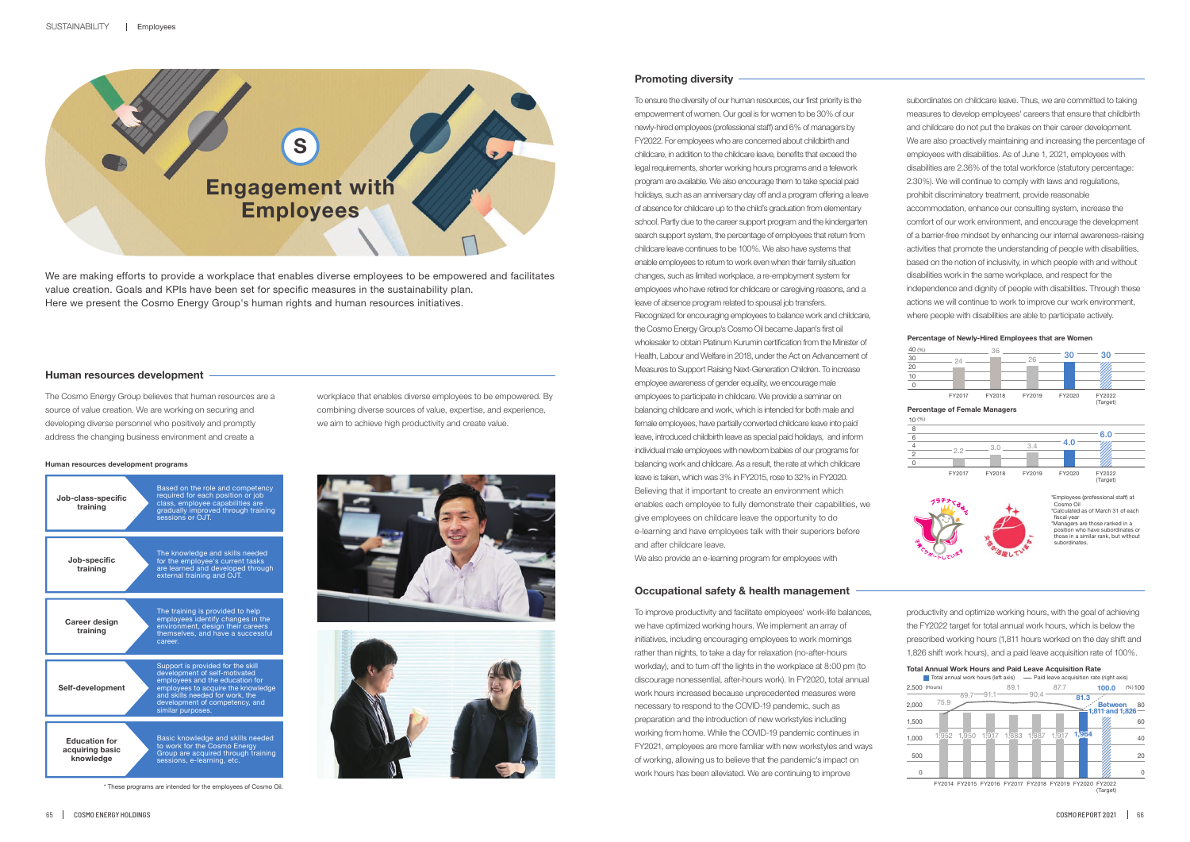

\* These programs are intended for the employees of Cosmo Oil.



#### **Human resources development programs**



cosmo on<br>Calculated as of March 31 of each fiscal year \*Managers are those ranked in a

\*Employees (professional staff) at Cosmo Oil

position who have subordinates or those in a similar rank, but without subordinates.

**Percentage of Newly-Hired Employees that are Women**



| 40 (%)<br>30<br>20<br>10<br>$\overline{0}$ | 24                                   | 36     | 26     | 30     | 30                 |  |
|--------------------------------------------|--------------------------------------|--------|--------|--------|--------------------|--|
|                                            | FY2017                               | FY2018 | FY2019 | FY2020 | FY2022<br>(Target) |  |
|                                            | <b>Percentage of Female Managers</b> |        |        |        |                    |  |
| $10^{(%)}$                                 |                                      |        |        |        |                    |  |
| 8                                          |                                      |        |        |        |                    |  |
| 6                                          |                                      |        |        |        | 6.0                |  |
| $\overline{4}$                             |                                      | 3.0    | 3.4    | 4.0    |                    |  |
| $\overline{c}$                             | 2.2                                  |        |        |        |                    |  |
| $\mathbf 0$                                |                                      |        |        |        |                    |  |
|                                            | FY2017                               | FY2018 | FY2019 | FY2020 | FY2022<br>(Target) |  |



We are making efforts to provide a workplace that enables diverse employees to be empowered and facilitates value creation. Goals and KPIs have been set for specific measures in the sustainability plan. Here we present the Cosmo Energy Group's human rights and human resources initiatives.

### **Human resources development**

The Cosmo Energy Group believes that human resources are a source of value creation. We are working on securing and developing diverse personnel who positively and promptly address the changing business environment and create a

workplace that enables diverse employees to be empowered. By combining diverse sources of value, expertise, and experience, we aim to achieve high productivity and create value.

### **Promoting diversity**

To ensure the diversity of our human resources, our first priority is the empowerment of women. Our goal is for women to be 30% of our newly-hired employees (professional staff) and 6% of managers by FY2022. For employees who are concerned about childbirth and childcare, in addition to the childcare leave, benefits that exceed the legal requirements, shorter working hours programs and a telework program are available. We also encourage them to take special paid holidays, such as an anniversary day off and a program offering a leave of absence for childcare up to the child's graduation from elementary school. Partly due to the career support program and the kindergarten search support system, the percentage of employees that return from childcare leave continues to be 100%. We also have systems that enable employees to return to work even when their family situation changes, such as limited workplace, a re-employment system for employees who have retired for childcare or caregiving reasons, and a leave of absence program related to spousal job transfers. Recognized for encouraging employees to balance work and childcare, the Cosmo Energy Group's Cosmo Oil became Japan's first oil wholesaler to obtain Platinum Kurumin certification from the Minister of Health, Labour and Welfare in 2018, under the Act on Advancement of Measures to Support Raising Next-Generation Children. To increase employee awareness of gender equality, we encourage male employees to participate in childcare. We provide a seminar on balancing childcare and work, which is intended for both male and female employees, have partially converted childcare leave into paid leave, introduced childbirth leave as special paid holidays, and inform individual male employees with newborn babies of our programs for balancing work and childcare. As a result, the rate at which childcare leave is taken, which was 3% in FY2015, rose to 32% in FY2020. Believing that it important to create an environment which enables each employee to fully demonstrate their capabilities, we give employees on childcare leave the opportunity to do e-learning and have employees talk with their superiors before and after childcare leave.

We also provide an e-learning program for employees with

subordinates on childcare leave. Thus, we are committed to taking measures to develop employees' careers that ensure that childbirth and childcare do not put the brakes on their career development. We are also proactively maintaining and increasing the percentage of employees with disabilities. As of June 1, 2021, employees with disabilities are 2.36% of the total workforce (statutory percentage: 2.30%). We will continue to comply with laws and regulations, prohibit discriminatory treatment, provide reasonable accommodation, enhance our consulting system, increase the comfort of our work environment, and encourage the development of a barrier-free mindset by enhancing our internal awareness-raising activities that promote the understanding of people with disabilities, based on the notion of inclusivity, in which people with and without disabilities work in the same workplace, and respect for the independence and dignity of people with disabilities. Through these actions we will continue to work to improve our work environment, where people with disabilities are able to participate actively.

#### **Occupational safety & health management**

To improve productivity and facilitate employees' work-life balances, we have optimized working hours. We implement an array of initiatives, including encouraging employees to work mornings rather than nights, to take a day for relaxation (no-after-hours workday), and to turn off the lights in the workplace at 8:00 pm (to discourage nonessential, after-hours work). In FY2020, total annual work hours increased because unprecedented measures were necessary to respond to the COVID-19 pandemic, such as preparation and the introduction of new workstyles including working from home. While the COVID-19 pandemic continues in FY2021, employees are more familiar with new workstyles and ways of working, allowing us to believe that the pandemic's impact on work hours has been alleviated. We are continuing to improve

productivity and optimize working hours, with the goal of achieving the FY2022 target for total annual work hours, which is below the prescribed working hours (1,811 hours worked on the day shift and 1,826 shift work hours), and a paid leave acquisition rate of 100%.